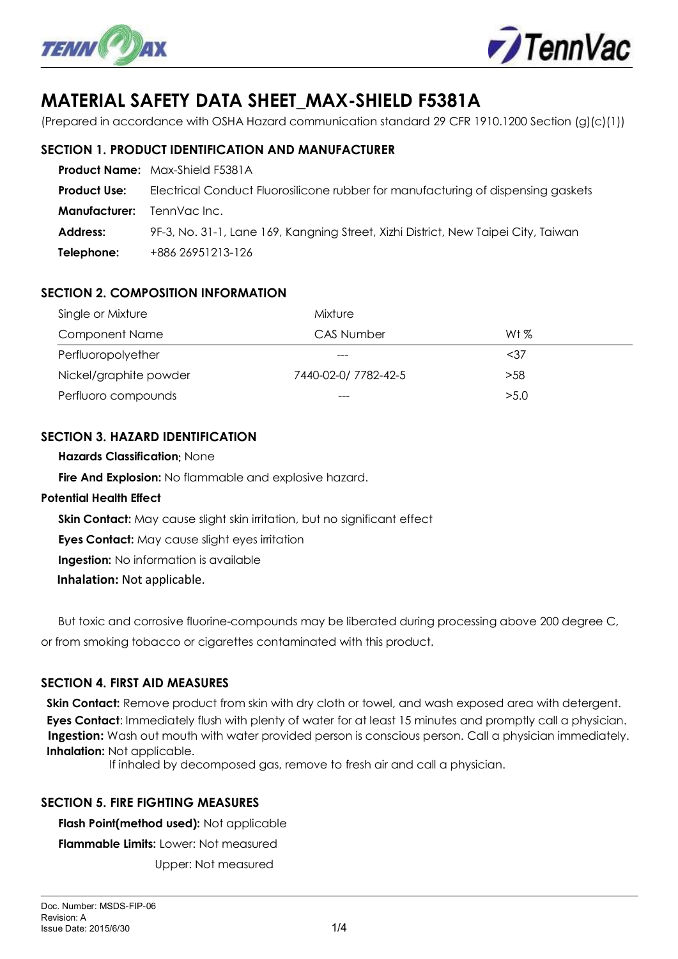



# **MATERIAL SAFETY DATA SHEET\_MAX-SHIELD F5381A**

(Prepared in accordance with OSHA Hazard communication standard 29 CFR 1910.1200 Section (g)(c)(1))

## **SECTION 1. PRODUCT IDENTIFICATION AND MANUFACTURER**

|                                  | <b>Product Name:</b> Max-Shield F5381A                                             |
|----------------------------------|------------------------------------------------------------------------------------|
| <b>Product Use:</b>              | Electrical Conduct Fluorosilicone rubber for manufacturing of dispensing gaskets   |
| <b>Manufacturer:</b> TennVaclnc. |                                                                                    |
| Address:                         | 9F-3, No. 31-1, Lane 169, Kangning Street, Xizhi District, New Taipei City, Taiwan |
| Telephone:                       | +886 26951213-126                                                                  |

# **SECTION 2. COMPOSITION INFORMATION**

| Single or Mixture      | Mixture              |        |  |  |
|------------------------|----------------------|--------|--|--|
| <b>Component Name</b>  | <b>CAS Number</b>    | Wt $%$ |  |  |
| Perfluoropolyether     | ---                  | $37$   |  |  |
| Nickel/graphite powder | 7440-02-0/ 7782-42-5 | >58    |  |  |
| Perfluoro compounds    | $---$                | >5.0   |  |  |

## **SECTION 3. HAZARD IDENTIFICATION**

**Hazards Classification**: None

**Fire And Explosion:** No flammable and explosive hazard.

#### **Potential Health Effect**

**Skin Contact:** May cause slight skin irritation, but no significant effect

**Eyes Contact:** May cause slight eyes irritation

**Ingestion:** No information is available

**Inhalation:** Not applicable.

 But toxic and corrosive fluorine-compounds may be liberated during processing above 200 degree C, or from smoking tobacco or cigarettes contaminated with this product.

## **SECTION 4. FIRST AID MEASURES**

**Skin Contact:** Remove product from skin with dry cloth or towel, and wash exposed area with detergent. **Eyes Contact**: Immediately flush with plenty of water for at least 15 minutes and promptly call a physician. **Ingestion:** Wash out mouth with water provided person is conscious person. Call a physician immediately. **Inhalation:** Not applicable.

If inhaled by decomposed gas, remove to fresh air and call a physician.

#### **SECTION 5. FIRE FIGHTING MEASURES**

 **Flash Point(method used):** Not applicable **Flammable Limits:** Lower: Not measured

Upper: Not measured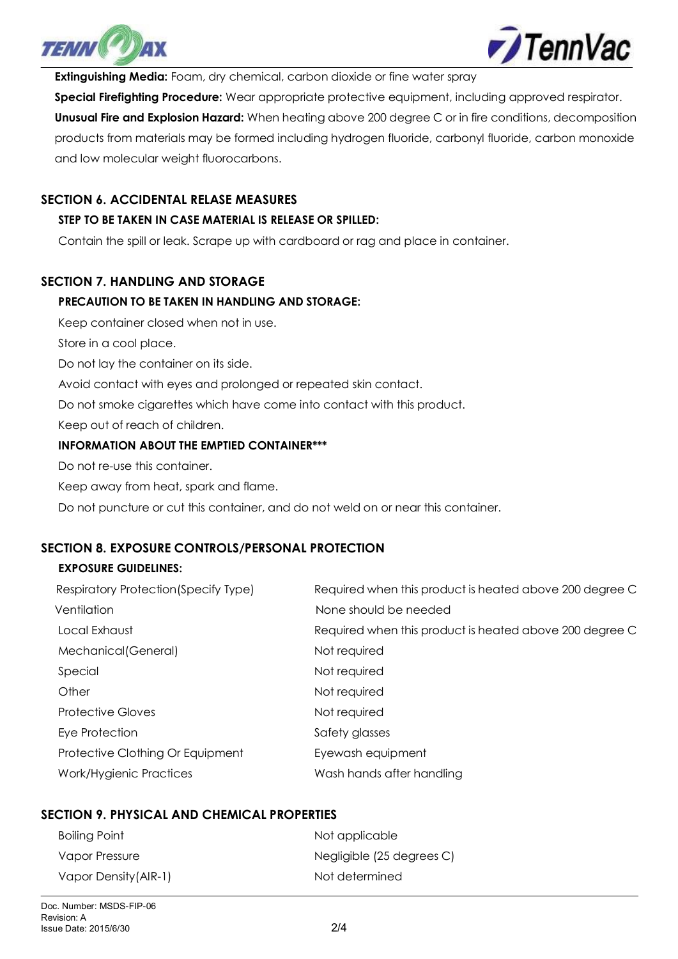



**Extinguishing Media:** Foam, dry chemical, carbon dioxide or fine water spray

**Special Firefighting Procedure:** Wear appropriate protective equipment, including approved respirator. **Unusual Fire and Explosion Hazard:** When heating above 200 degree C or in fire conditions, decomposition products from materials may be formed including hydrogen fluoride, carbonyl fluoride, carbon monoxide and low molecular weight fluorocarbons.

## **SECTION 6. ACCIDENTAL RELASE MEASURES**

## **STEP TO BE TAKEN IN CASE MATERIAL IS RELEASE OR SPILLED:**

Contain the spill or leak. Scrape up with cardboard or rag and place in container.

## **SECTION 7. HANDLING AND STORAGE**

#### **PRECAUTION TO BE TAKEN IN HANDLING AND STORAGE:**

Keep container closed when not in use.

Store in a cool place.

Do not lay the container on its side.

Avoid contact with eyes and prolonged or repeated skin contact.

Do not smoke cigarettes which have come into contact with this product.

Keep out of reach of children.

#### **INFORMATION ABOUT THE EMPTIED CONTAINER\*\*\***

Do not re-use this container.

Keep away from heat, spark and flame.

Do not puncture or cut this container, and do not weld on or near this container.

## **SECTION 8. EXPOSURE CONTROLS/PERSONAL PROTECTION**

#### **EXPOSURE GUIDELINES:**

| Respiratory Protection (Specify Type) | Required when this product is heated above 200 degree C |
|---------------------------------------|---------------------------------------------------------|
| Ventilation                           | None should be needed                                   |
| Local Exhaust                         | Required when this product is heated above 200 degree C |
| Mechanical (General)                  | Not required                                            |
| Special                               | Not required                                            |
| Other                                 | Not required                                            |
| <b>Protective Gloves</b>              | Not required                                            |
| Eye Protection                        | Safety glasses                                          |
| Protective Clothing Or Equipment      | Eyewash equipment                                       |
| Work/Hygienic Practices               | Wash hands after handling                               |
|                                       |                                                         |

## **SECTION 9. PHYSICAL AND CHEMICAL PROPERTIES**

| Boiling Point         | Not applicable            |
|-----------------------|---------------------------|
| Vapor Pressure        | Negligible (25 degrees C) |
| Vapor Density (AIR-1) | Not determined            |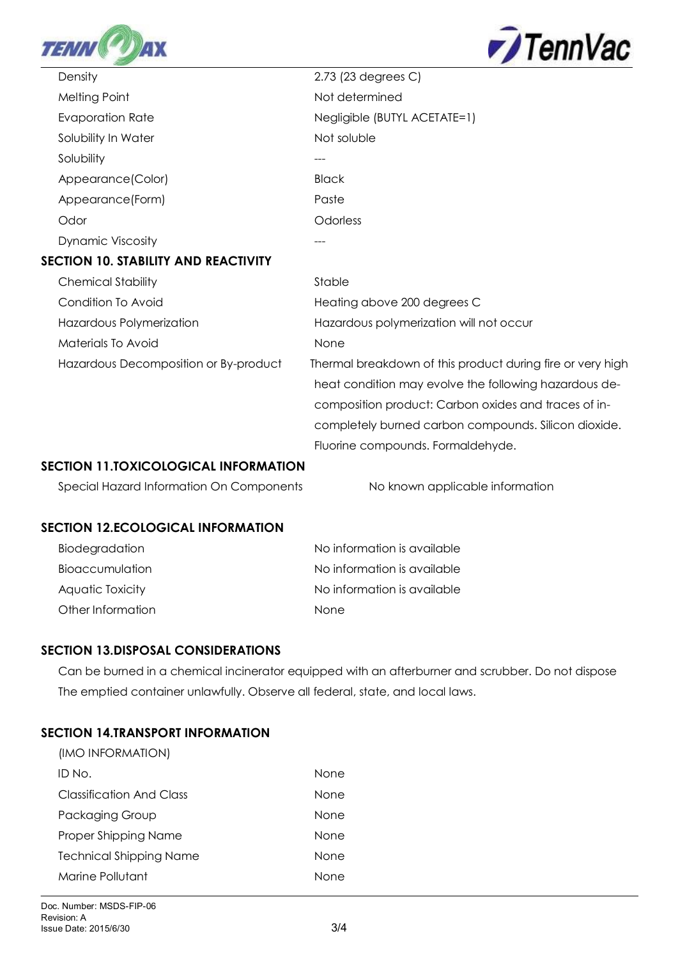



| Density                                     | 2.73 (23 degrees C)                                        |
|---------------------------------------------|------------------------------------------------------------|
| Melting Point                               | Not determined                                             |
| <b>Evaporation Rate</b>                     | Negligible (BUTYL ACETATE=1)                               |
| Solubility In Water                         | Not soluble                                                |
| Solubility                                  | ---                                                        |
| Appearance(Color)                           | <b>Black</b>                                               |
| Appearance (Form)                           | Paste                                                      |
| Odor                                        | Odorless                                                   |
| <b>Dynamic Viscosity</b>                    |                                                            |
| <b>SECTION 10. STABILITY AND REACTIVITY</b> |                                                            |
| <b>Chemical Stability</b>                   | Stable                                                     |
| Condition To Avoid                          | Heating above 200 degrees C                                |
| Hazardous Polymerization                    | Hazardous polymerization will not occur                    |
| Materials To Avoid                          | None                                                       |
| Hazardous Decomposition or By-product       | Thermal breakdown of this product during fire or very high |
|                                             | heat condition may evolve the following hazardous de-      |
|                                             | composition product: Carbon oxides and traces of in-       |
|                                             | completely burned carbon compounds. Silicon dioxide.       |
|                                             | Fluorine compounds. Formaldehyde.                          |

## **SECTION 11.TOXICOLOGICAL INFORMATION**

Special Hazard Information On Components No known applicable information

## **SECTION 12.ECOLOGICAL INFORMATION**

| Biodegradation         | No information is available |
|------------------------|-----------------------------|
| <b>Bioaccumulation</b> | No information is available |
| Aquatic Toxicity       | No information is available |
| Other Information      | <b>None</b>                 |

## **SECTION 13.DISPOSAL CONSIDERATIONS**

 Can be burned in a chemical incinerator equipped with an afterburner and scrubber. Do not dispose The emptied container unlawfully. Observe all federal, state, and local laws.

# **SECTION 14.TRANSPORT INFORMATION**

| (IMO INFORMATION)              |      |
|--------------------------------|------|
| ID No.                         | None |
| Classification And Class       | None |
| Packaging Group                | None |
| Proper Shipping Name           | None |
| <b>Technical Shipping Name</b> | None |
| Marine Pollutant               | None |